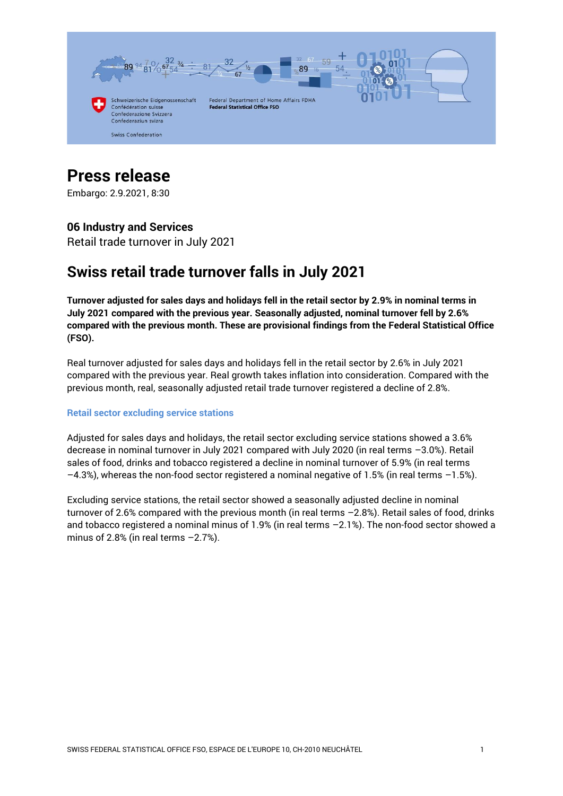

# **Press release**

Embargo: 2.9.2021, 8:30

#### **06 Industry and Services**

Retail trade turnover in July 2021

# **Swiss retail trade turnover falls in July 2021**

**Turnover adjusted for sales days and holidays fell in the retail sector by 2.9% in nominal terms in July 2021 compared with the previous year. Seasonally adjusted, nominal turnover fell by 2.6% compared with the previous month. These are provisional findings from the Federal Statistical Office (FSO).**

Real turnover adjusted for sales days and holidays fell in the retail sector by 2.6% in July 2021 compared with the previous year. Real growth takes inflation into consideration. Compared with the previous month, real, seasonally adjusted retail trade turnover registered a decline of 2.8%.

#### **Retail sector excluding service stations**

Adjusted for sales days and holidays, the retail sector excluding service stations showed a 3.6% decrease in nominal turnover in July 2021 compared with July 2020 (in real terms –3.0%). Retail sales of food, drinks and tobacco registered a decline in nominal turnover of 5.9% (in real terms –4.3%), whereas the non-food sector registered a nominal negative of 1.5% (in real terms –1.5%).

Excluding service stations, the retail sector showed a seasonally adjusted decline in nominal turnover of 2.6% compared with the previous month (in real terms –2.8%). Retail sales of food, drinks and tobacco registered a nominal minus of 1.9% (in real terms –2.1%). The non-food sector showed a minus of 2.8% (in real terms  $-2.7$ %).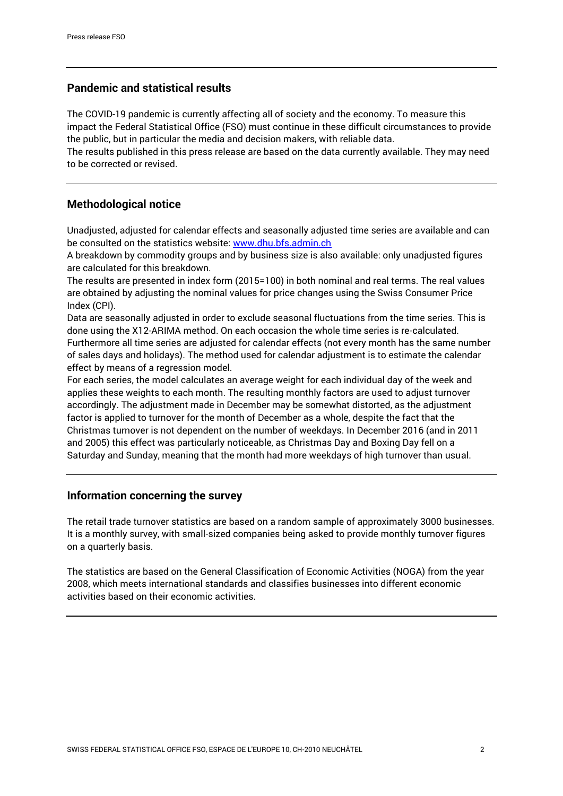## **Pandemic and statistical results**

The COVID-19 pandemic is currently affecting all of society and the economy. To measure this impact the Federal Statistical Office (FSO) must continue in these difficult circumstances to provide the public, but in particular the media and decision makers, with reliable data.

The results published in this press release are based on the data currently available. They may need to be corrected or revised.

### **Methodological notice**

Unadjusted, adjusted for calendar effects and seasonally adjusted time series are available and can be consulted on the statistics website: [www.dhu.bfs.admin.ch](http://www.dhu.bfs.admin.ch/)

A breakdown by commodity groups and by business size is also available: only unadjusted figures are calculated for this breakdown.

The results are presented in index form (2015=100) in both nominal and real terms. The real values are obtained by adjusting the nominal values for price changes using the Swiss Consumer Price Index (CPI).

Data are seasonally adjusted in order to exclude seasonal fluctuations from the time series. This is done using the X12-ARIMA method. On each occasion the whole time series is re-calculated. Furthermore all time series are adjusted for calendar effects (not every month has the same number of sales days and holidays). The method used for calendar adjustment is to estimate the calendar effect by means of a regression model.

For each series, the model calculates an average weight for each individual day of the week and applies these weights to each month. The resulting monthly factors are used to adjust turnover accordingly. The adjustment made in December may be somewhat distorted, as the adjustment factor is applied to turnover for the month of December as a whole, despite the fact that the Christmas turnover is not dependent on the number of weekdays. In December 2016 (and in 2011 and 2005) this effect was particularly noticeable, as Christmas Day and Boxing Day fell on a Saturday and Sunday, meaning that the month had more weekdays of high turnover than usual.

#### **Information concerning the survey**

The retail trade turnover statistics are based on a random sample of approximately 3000 businesses. It is a monthly survey, with small-sized companies being asked to provide monthly turnover figures on a quarterly basis.

The statistics are based on the General Classification of Economic Activities (NOGA) from the year 2008, which meets international standards and classifies businesses into different economic activities based on their economic activities.